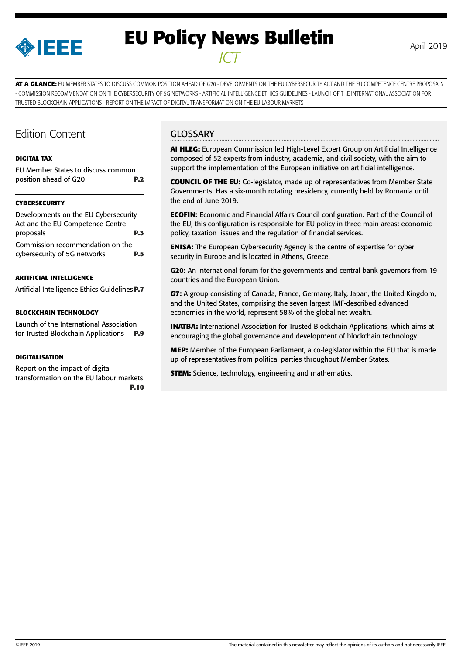

# **EU Policy News Bulletin** April 2019 *ICT*

**AT A GLANCE:** EU MEMBER STATES TO DISCUSS COMMON POSITION AHEAD OF G20 - DEVELOPMENTS ON THE EU CYBERSECURITY ACT AND THE EU COMPETENCE CENTRE PROPOSALS - COMMISSION RECOMMENDATION ON THE CYBERSECURITY OF 5G NETWORKS - ARTIFICIAL INTELLIGENCE ETHICS GUIDELINES - LAUNCH OF THE INTERNATIONAL ASSOCIATION FOR TRUSTED BLOCKCHAIN APPLICATIONS - REPORT ON THE IMPACT OF DIGITAL TRANSFORMATION ON THE EU LABOUR MARKETS

### Edition Content

#### **[DIGITAL TAX](#page-1-0)**

| EU Member States to discuss common<br>position ahead of G20 | P <sub>2</sub> |
|-------------------------------------------------------------|----------------|
| <b>CYBERSECURITY</b>                                        |                |
| Developments on the EU Cybersecurity                        |                |
| Act and the EU Competence Centre                            |                |
| nronocalc                                                   |                |

[proposals](#page-2-0) **P.3** [Commission recommendation on the](#page-4-0)  [cybersecurity of 5G networks](#page-4-0) **P.5**

#### **[ARTIFICIAL INTELLIGENCE](#page-6-0)**

[Artificial Intelligence Ethics Guidelines](#page-6-0)**P.7**

#### **[BLOCKCHAIN TECHNOLOGY](#page-8-0)**

[Launch of the International Association](#page-8-0)  [for Trusted Blockchain Applications](#page-8-0) **P.9**

#### **[DIGITALISATION](#page-9-0)**

[Report on the impact of digital](#page-9-0)  [transformation on the EU labour markets](#page-9-0) **[P.10](#page-9-0)**

#### **GLOSSARY**

**AI HLEG:** European Commission led High-Level Expert Group on Artificial Intelligence composed of 52 experts from industry, academia, and civil society, with the aim to support the implementation of the European initiative on artificial intelligence.

**COUNCIL OF THE EU:** Co-legislator, made up of representatives from Member State Governments. Has a six-month rotating presidency, currently held by Romania until the end of June 2019.

**ECOFIN:** Economic and Financial Affairs Council configuration. Part of the Council of the EU, this configuration is responsible for EU policy in three main areas: economic policy, taxation issues and the regulation of financial services.

**ENISA:** The European Cybersecurity Agency is the centre of expertise for cyber security in Europe and is located in Athens, Greece.

**G20:** An international forum for the governments and central bank governors from 19 countries and the European Union.

**G7:** A group consisting of Canada, France, Germany, Italy, Japan, the United Kingdom, and the United States, comprising the seven largest IMF-described advanced economies in the world, represent 58% of the global net wealth.

**INATBA:** International Association for Trusted Blockchain Applications, which aims at encouraging the global governance and development of blockchain technology.

**MEP:** Member of the European Parliament, a co-legislator within the EU that is made up of representatives from political parties throughout Member States.

**STEM:** Science, technology, engineering and mathematics.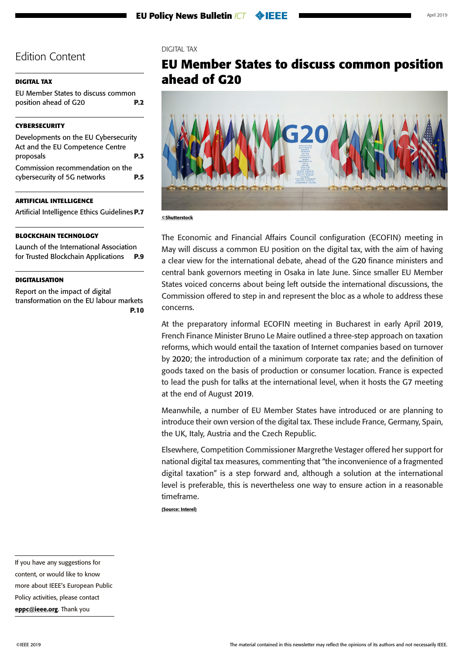#### <span id="page-1-0"></span>**DIGITAL TAX**

| EU Member States to discuss common |            |
|------------------------------------|------------|
| position ahead of G20              | <b>P.2</b> |

#### **[CYBERSECURITY](#page-2-0)**

| Developments on the EU Cybersecurity                             |            |
|------------------------------------------------------------------|------------|
| Act and the EU Competence Centre                                 |            |
| proposals                                                        | <b>P.3</b> |
| Commission recommendation on the<br>cybersecurity of 5G networks | <b>P.5</b> |

#### **[ARTIFICIAL INTELLIGENCE](#page-6-0)**

[Artificial Intelligence Ethics Guidelines](#page-6-0)**P.7**

#### **[BLOCKCHAIN TECHNOLOGY](#page-8-0)**

[Launch of the International Association](#page-8-0)  [for Trusted Blockchain Applications](#page-8-0) **P.9**

#### **[DIGITALISATION](#page-9-0)**

[Report on the impact of digital](#page-9-0)  [transformation on the EU labour markets](#page-9-0) **[P.10](#page-9-0)**

#### DIGITAL TAX

## **EU Member States to discuss common position ahead of G20**



**©Shutterstock** 

The Economic and Financial Affairs Council configuration (ECOFIN) meeting in May will discuss a common EU position on the digital tax, with the aim of having a clear view for the international debate, ahead of the G20 finance ministers and central bank governors meeting in Osaka in late June. Since smaller EU Member States voiced concerns about being left outside the international discussions, the Commission offered to step in and represent the bloc as a whole to address these concerns.

At the preparatory informal ECOFIN meeting in Bucharest in early April 2019, French Finance Minister Bruno Le Maire outlined a three-step approach on taxation reforms, which would entail the taxation of Internet companies based on turnover by 2020; the introduction of a minimum corporate tax rate; and the definition of goods taxed on the basis of production or consumer location. France is expected to lead the push for talks at the international level, when it hosts the G7 meeting at the end of August 2019.

Meanwhile, a number of EU Member States have introduced or are planning to introduce their own version of the digital tax. These include France, Germany, Spain, the UK, Italy, Austria and the Czech Republic.

Elsewhere, Competition Commissioner Margrethe Vestager offered her support for national digital tax measures, commenting that "the inconvenience of a fragmented digital taxation" is a step forward and, although a solution at the international level is preferable, this is nevertheless one way to ensure action in a reasonable timeframe.

(Source: Interel)

If you have any suggestions for content, or would like to know more about IEEE's European Public Policy activities, please contact [eppc@ieee.org](mailto:eppc%40ieee.org?subject=). Thank you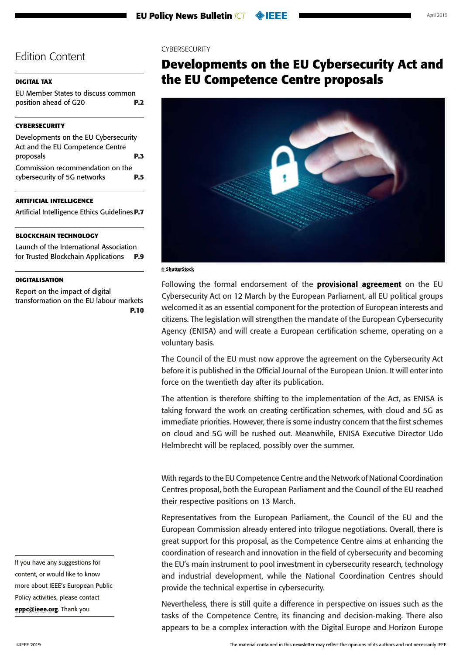#### <span id="page-2-0"></span>**[DIGITAL TAX](#page-1-0)**

[EU Member States to discuss common](#page-1-0)  [position ahead of G20](#page-1-0) **P.2**

#### **CYBERSECURITY**

| Developments on the EU Cybersecurity                             |            |
|------------------------------------------------------------------|------------|
| Act and the EU Competence Centre                                 |            |
| proposals                                                        | <b>P.3</b> |
| Commission recommendation on the<br>cybersecurity of 5G networks | <b>P.5</b> |

#### **[ARTIFICIAL INTELLIGENCE](#page-6-0)**

[Artificial Intelligence Ethics Guidelines](#page-6-0)**P.7**

#### **[BLOCKCHAIN TECHNOLOGY](#page-8-0)**

[Launch of the International Association](#page-8-0)  [for Trusted Blockchain Applications](#page-8-0) **P.9**

#### **[DIGITALISATION](#page-9-0)**

[Report on the impact of digital](#page-9-0)  [transformation on the EU labour markets](#page-9-0) **[P.10](#page-9-0)**

If you have any suggestions for content, or would like to know more about IEEE's European Public Policy activities, please contact [eppc@ieee.org](mailto:eppc%40ieee.org?subject=). Thank you

#### CYBERSECURITY

## **Developments on the EU Cybersecurity Act and the EU Competence Centre proposals**



#### © ShutterStock

Following the formal endorsement of the **[provisional agreement](http://www.europarl.europa.eu/meetdocs/2014_2019/plmrep/COMMITTEES/ITRE/DV/2019/01-14/6-provisional-agreement-niebler-enisa-EN.pdf)** on the EU Cybersecurity Act on 12 March by the European Parliament, all EU political groups welcomed it as an essential component for the protection of European interests and citizens. The legislation will strengthen the mandate of the European Cybersecurity Agency (ENISA) and will create a European certification scheme, operating on a voluntary basis.

The Council of the EU must now approve the agreement on the Cybersecurity Act before it is published in the Official Journal of the European Union. It will enter into force on the twentieth day after its publication.

The attention is therefore shifting to the implementation of the Act, as ENISA is taking forward the work on creating certification schemes, with cloud and 5G as immediate priorities. However, there is some industry concern that the first schemes on cloud and 5G will be rushed out. Meanwhile, ENISA Executive Director Udo Helmbrecht will be replaced, possibly over the summer.

With regards to the EU Competence Centre and the Network of National Coordination Centres proposal, both the European Parliament and the Council of the EU reached their respective positions on 13 March.

Representatives from the European Parliament, the Council of the EU and the European Commission already entered into trilogue negotiations. Overall, there is great support for this proposal, as the Competence Centre aims at enhancing the coordination of research and innovation in the field of cybersecurity and becoming the EU's main instrument to pool investment in cybersecurity research, technology and industrial development, while the National Coordination Centres should provide the technical expertise in cybersecurity.

Nevertheless, there is still quite a difference in perspective on issues such as the tasks of the Competence Centre, its financing and decision-making. There also appears to be a complex interaction with the Digital Europe and Horizon Europe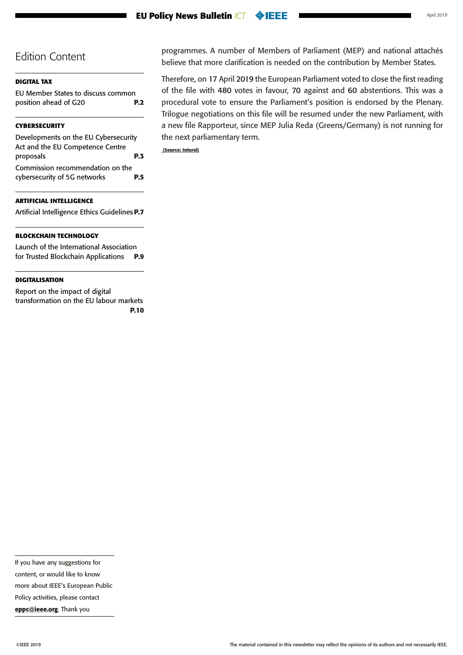#### **EU Policy News Bulletin** *ICT*

### Edition Content

#### **[DIGITAL TAX](#page-1-0)**

[EU Member States to discuss common](#page-1-0)  [position ahead of G20](#page-1-0) **P.2**

#### **[CYBERSECURITY](#page-2-0)**

| Developments on the EU Cybersecurity |            |
|--------------------------------------|------------|
| Act and the EU Competence Centre     |            |
| proposals                            | <b>P.3</b> |
| Commission recommendation on the     |            |
| cybersecurity of 5G networks         | <b>P.5</b> |

#### **[ARTIFICIAL INTELLIGENCE](#page-6-0)**

[Artificial Intelligence Ethics Guidelines](#page-6-0)**P.7**

#### **[BLOCKCHAIN TECHNOLOGY](#page-8-0)**

[Launch of the International Association](#page-8-0)  [for Trusted Blockchain Applications](#page-8-0) **P.9**

#### **[DIGITALISATION](#page-9-0)**

[Report on the impact of digital](#page-9-0)  [transformation on the EU labour markets](#page-9-0) **[P.10](#page-9-0)**

programmes. A number of Members of Parliament (MEP) and national attachés believe that more clarification is needed on the contribution by Member States.

Therefore, on 17 April 2019 the European Parliament voted to close the first reading of the file with 480 votes in favour, 70 against and 60 abstentions. This was a procedural vote to ensure the Parliament's position is endorsed by the Plenary. Trilogue negotiations on this file will be resumed under the new Parliament, with a new file Rapporteur, since MEP Julia Reda (Greens/Germany) is not running for the next parliamentary term.

 **(Source: Interel)**

Policy activities, please contact [eppc@ieee.org](mailto:eppc%40ieee.org?subject=). Thank you

If you have any suggestions for content, or would like to know more about IEEE's European Public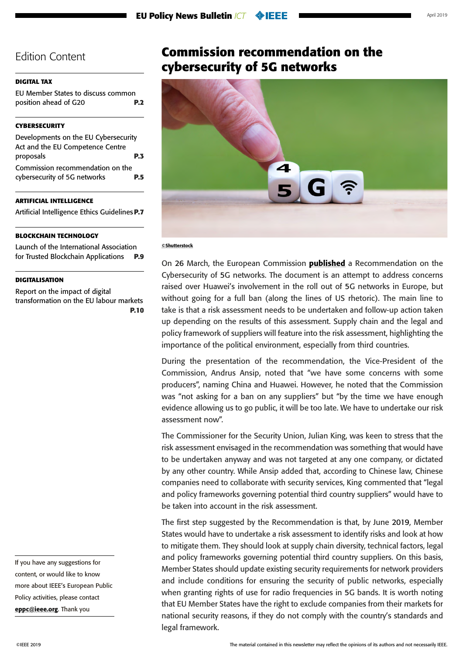#### <span id="page-4-0"></span>**[DIGITAL TAX](#page-1-0)**

[EU Member States to discuss common](#page-1-0)  [position ahead of G20](#page-1-0) **P.2**

#### **[CYBERSECURITY](#page-2-0)**

| Developments on the EU Cybersecurity                             |     |
|------------------------------------------------------------------|-----|
| Act and the EU Competence Centre                                 |     |
| proposals                                                        | P.3 |
| Commission recommendation on the<br>cybersecurity of 5G networks | P.5 |

#### **[ARTIFICIAL INTELLIGENCE](#page-6-0)**

[Artificial Intelligence Ethics Guidelines](#page-6-0)**P.7**

#### **[BLOCKCHAIN TECHNOLOGY](#page-8-0)**

[Launch of the International Association](#page-8-0)  [for Trusted Blockchain Applications](#page-8-0) **P.9**

#### **[DIGITALISATION](#page-9-0)**

[Report on the impact of digital](#page-9-0)  [transformation on the EU labour markets](#page-9-0) **[P.10](#page-9-0)**

If you have any suggestions for content, or would like to know more about IEEE's European Public Policy activities, please contact [eppc@ieee.org](mailto:eppc%40ieee.org?subject=). Thank you

## **Commission recommendation on the cybersecurity of 5G networks**



#### ©Shutterstock

On 26 March, the European Commission **[published](https://ec.europa.eu/digital-single-market/en/news/cybersecurity-5g-networks)** a Recommendation on the Cybersecurity of 5G networks. The document is an attempt to address concerns raised over Huawei's involvement in the roll out of 5G networks in Europe, but without going for a full ban (along the lines of US rhetoric). The main line to take is that a risk assessment needs to be undertaken and follow-up action taken up depending on the results of this assessment. Supply chain and the legal and policy framework of suppliers will feature into the risk assessment, highlighting the importance of the political environment, especially from third countries.

During the presentation of the recommendation, the Vice-President of the Commission, Andrus Ansip, noted that "we have some concerns with some producers", naming China and Huawei. However, he noted that the Commission was "not asking for a ban on any suppliers" but "by the time we have enough evidence allowing us to go public, it will be too late. We have to undertake our risk assessment now".

The Commissioner for the Security Union, Julian King, was keen to stress that the risk assessment envisaged in the recommendation was something that would have to be undertaken anyway and was not targeted at any one company, or dictated by any other country. While Ansip added that, according to Chinese law, Chinese companies need to collaborate with security services, King commented that "legal and policy frameworks governing potential third country suppliers" would have to be taken into account in the risk assessment.

The first step suggested by the Recommendation is that, by June 2019, Member States would have to undertake a risk assessment to identify risks and look at how to mitigate them. They should look at supply chain diversity, technical factors, legal and policy frameworks governing potential third country suppliers. On this basis, Member States should update existing security requirements for network providers and include conditions for ensuring the security of public networks, especially when granting rights of use for radio frequencies in 5G bands. It is worth noting that EU Member States have the right to exclude companies from their markets for national security reasons, if they do not comply with the country's standards and legal framework.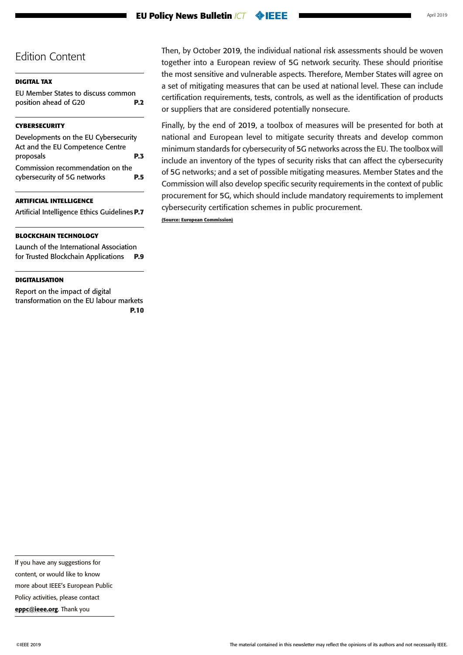#### **[DIGITAL TAX](#page-1-0)**

[EU Member States to discuss common](#page-1-0)  [position ahead of G20](#page-1-0) **P.2**

#### **[CYBERSECURITY](#page-2-0)**

| Developments on the EU Cybersecurity                             |            |
|------------------------------------------------------------------|------------|
| Act and the EU Competence Centre                                 |            |
| proposals                                                        | <b>P.3</b> |
| Commission recommendation on the<br>cybersecurity of 5G networks | <b>P.5</b> |

#### **[ARTIFICIAL INTELLIGENCE](#page-6-0)**

[Artificial Intelligence Ethics Guidelines](#page-6-0)**P.7**

#### **[BLOCKCHAIN TECHNOLOGY](#page-8-0)**

[Launch of the International Association](#page-8-0)  [for Trusted Blockchain Applications](#page-8-0) **P.9**

#### **[DIGITALISATION](#page-9-0)**

[Report on the impact of digital](#page-9-0)  [transformation on the EU labour markets](#page-9-0) **[P.10](#page-9-0)** Then, by October 2019, the individual national risk assessments should be woven together into a European review of 5G network security. These should prioritise the most sensitive and vulnerable aspects. Therefore, Member States will agree on a set of mitigating measures that can be used at national level. These can include certification requirements, tests, controls, as well as the identification of products or suppliers that are considered potentially nonsecure.

Finally, by the end of 2019, a toolbox of measures will be presented for both at national and European level to mitigate security threats and develop common minimum standards for cybersecurity of 5G networks across the EU. The toolbox will include an inventory of the types of security risks that can affect the cybersecurity of 5G networks; and a set of possible mitigating measures. Member States and the Commission will also develop specific security requirements in the context of public procurement for 5G, which should include mandatory requirements to implement cybersecurity certification schemes in public procurement.

**(Source: European Commission)**

If you have any suggestions for content, or would like to know

more about IEEE's European Public

Policy activities, please contact [eppc@ieee.org](mailto:eppc%40ieee.org?subject=). Thank you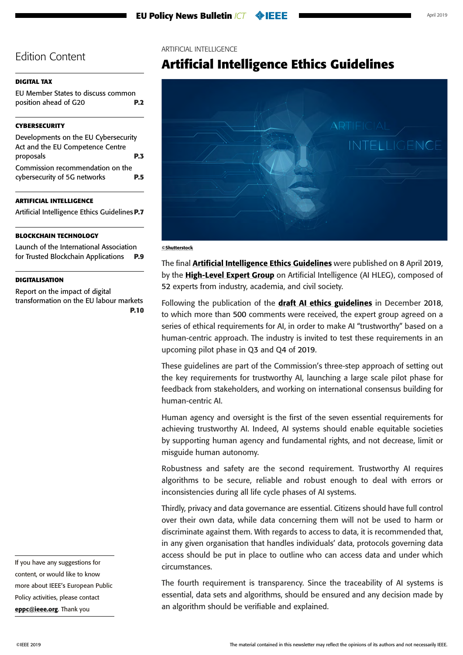#### <span id="page-6-0"></span>**[DIGITAL TAX](#page-1-0)**

[EU Member States to discuss common](#page-1-0)  [position ahead of G20](#page-1-0) **P.2**

#### **[CYBERSECURITY](#page-2-0)**

| Developments on the EU Cybersecurity                             |            |
|------------------------------------------------------------------|------------|
| Act and the EU Competence Centre                                 |            |
| proposals                                                        | <b>P.3</b> |
| Commission recommendation on the<br>cybersecurity of 5G networks | P.5        |

#### **ARTIFICIAL INTELLIGENCE**

Artificial Intelligence Ethics Guidelines**P.7**

#### **[BLOCKCHAIN TECHNOLOGY](#page-8-0)**

[Launch of the International Association](#page-8-0)  [for Trusted Blockchain Applications](#page-8-0) **P.9**

#### **[DIGITALISATION](#page-9-0)**

[Report on the impact of digital](#page-9-0)  [transformation on the EU labour markets](#page-9-0) **[P.10](#page-9-0)**

If you have any suggestions for content, or would like to know more about IEEE's European Public Policy activities, please contact [eppc@ieee.org](mailto:eppc%40ieee.org?subject=). Thank you

#### ARTIFICIAL INTELLIGENCE

## **Artificial Intelligence Ethics Guidelines**



#### ©Shutterstock

The final **[Artificial Intelligence Ethics Guidelines](https://ec.europa.eu/newsroom/dae/document.cfm?doc_id=58477)** were published on 8 April 2019, by the **[High-Level Expert Group](http://ec.europa.eu/digital-single-market/en/high-level-expert-group-artificial-intelligence)** on Artificial Intelligence (AI HLEG), composed of 52 experts from industry, academia, and civil society.

Following the publication of the **[draft AI ethics guidelines](https://ec.europa.eu/digital-single-market/news-redirect/641027)** in December 2018, to which more than 500 comments were received, the expert group agreed on a series of ethical requirements for AI, in order to make AI "trustworthy" based on a human-centric approach. The industry is invited to test these requirements in an upcoming pilot phase in Q3 and Q4 of 2019.

These guidelines are part of the Commission's three-step approach of setting out the key requirements for trustworthy AI, launching a large scale pilot phase for feedback from stakeholders, and working on international consensus building for human-centric AI.

Human agency and oversight is the first of the seven essential requirements for achieving trustworthy AI. Indeed, AI systems should enable equitable societies by supporting human agency and fundamental rights, and not decrease, limit or misguide human autonomy.

Robustness and safety are the second requirement. Trustworthy AI requires algorithms to be secure, reliable and robust enough to deal with errors or inconsistencies during all life cycle phases of AI systems.

Thirdly, privacy and data governance are essential. Citizens should have full control over their own data, while data concerning them will not be used to harm or discriminate against them. With regards to access to data, it is recommended that, in any given organisation that handles individuals' data, protocols governing data access should be put in place to outline who can access data and under which circumstances.

The fourth requirement is transparency. Since the traceability of AI systems is essential, data sets and algorithms, should be ensured and any decision made by an algorithm should be verifiable and explained.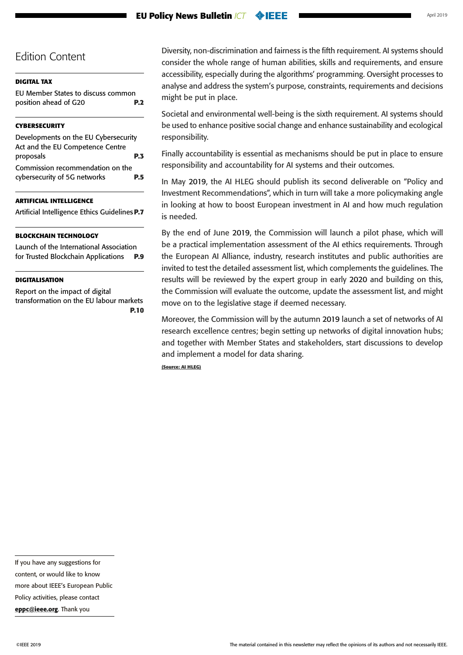#### **EU Policy News Bulletin** *ICT* **OBJEE**

### Edition Content

#### **[DIGITAL TAX](#page-1-0)**

[EU Member States to discuss common](#page-1-0)  [position ahead of G20](#page-1-0) **P.2**

#### **[CYBERSECURITY](#page-2-0)**

| Developments on the EU Cybersecurity                             |            |
|------------------------------------------------------------------|------------|
| Act and the EU Competence Centre                                 |            |
| proposals                                                        | <b>P.3</b> |
| Commission recommendation on the<br>cybersecurity of 5G networks | <b>P.5</b> |

#### **[ARTIFICIAL INTELLIGENCE](#page-6-0)**

[Artificial Intelligence Ethics Guidelines](#page-6-0)**P.7**

#### **[BLOCKCHAIN TECHNOLOGY](#page-8-0)**

[Launch of the International Association](#page-8-0)  [for Trusted Blockchain Applications](#page-8-0) **P.9**

#### **[DIGITALISATION](#page-9-0)**

[Report on the impact of digital](#page-9-0)  [transformation on the EU labour markets](#page-9-0) **[P.10](#page-9-0)**

Diversity, non-discrimination and fairness is the fifth requirement. AI systems should consider the whole range of human abilities, skills and requirements, and ensure accessibility, especially during the algorithms' programming. Oversight processes to analyse and address the system's purpose, constraints, requirements and decisions might be put in place.

Societal and environmental well-being is the sixth requirement. AI systems should be used to enhance positive social change and enhance sustainability and ecological responsibility.

Finally accountability is essential as mechanisms should be put in place to ensure responsibility and accountability for AI systems and their outcomes.

In May 2019, the AI HLEG should publish its second deliverable on "Policy and Investment Recommendations", which in turn will take a more policymaking angle in looking at how to boost European investment in AI and how much regulation is needed.

By the end of June 2019, the Commission will launch a pilot phase, which will be a practical implementation assessment of the AI ethics requirements. Through the European AI Alliance, industry, research institutes and public authorities are invited to test the detailed assessment list, which complements the guidelines. The results will be reviewed by the expert group in early 2020 and building on this, the Commission will evaluate the outcome, update the assessment list, and might move on to the legislative stage if deemed necessary.

Moreover, the Commission will by the autumn 2019 launch a set of networks of AI research excellence centres; begin setting up networks of digital innovation hubs; and together with Member States and stakeholders, start discussions to develop and implement a model for data sharing.

**(Source: AI HLEG)**

If you have any suggestions for content, or would like to know more about IEEE's European Public Policy activities, please contact

[eppc@ieee.org](mailto:eppc%40ieee.org?subject=). Thank you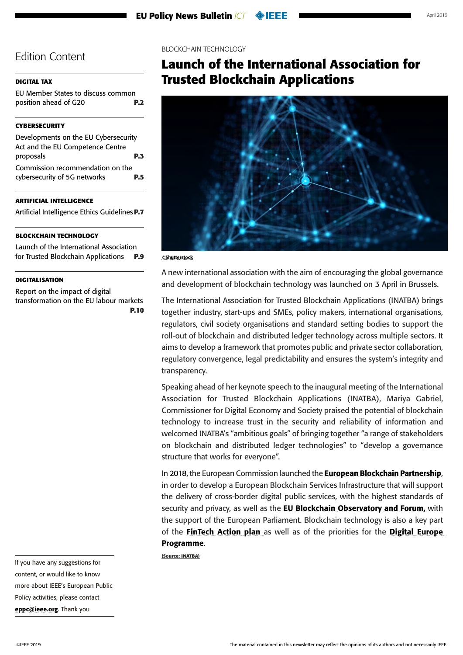#### <span id="page-8-0"></span>**[DIGITAL TAX](#page-1-0)**

[EU Member States to discuss common](#page-1-0)  [position ahead of G20](#page-1-0) **P.2**

#### **[CYBERSECURITY](#page-2-0)**

| Act and the EU Competence Centre<br>proposals<br><b>P.3</b> | Developments on the EU Cybersecurity |  |
|-------------------------------------------------------------|--------------------------------------|--|
|                                                             |                                      |  |
|                                                             |                                      |  |
| cybersecurity of 5G networks<br>P.5                         | Commission recommendation on the     |  |

#### **[ARTIFICIAL INTELLIGENCE](#page-6-0)**

[Artificial Intelligence Ethics Guidelines](#page-6-0)**P.7**

#### **BLOCKCHAIN TECHNOLOGY**

Launch of the International Association for Trusted Blockchain Applications **P.9**

#### **[DIGITALISATION](#page-9-0)**

[Report on the impact of digital](#page-9-0)  [transformation on the EU labour markets](#page-9-0) **[P.10](#page-9-0)**

#### BLOCKCHAIN TECHNOLOGY

## **Launch of the International Association for Trusted Blockchain Applications**



#### ©Shutterstock

A new international association with the aim of encouraging the global governance and development of blockchain technology was launched on 3 April in Brussels.

The International Association for Trusted Blockchain Applications (INATBA) brings together industry, start-ups and SMEs, policy makers, international organisations, regulators, civil society organisations and standard setting bodies to support the roll-out of blockchain and distributed ledger technology across multiple sectors. It aims to develop a framework that promotes public and private sector collaboration, regulatory convergence, legal predictability and ensures the system's integrity and transparency.

Speaking ahead of her keynote speech to the inaugural meeting of the International Association for Trusted Blockchain Applications (INATBA), Mariya Gabriel, Commissioner for Digital Economy and Society praised the potential of blockchain technology to increase trust in the security and reliability of information and welcomed INATBA's "ambitious goals" of bringing together "a range of stakeholders on blockchain and distributed ledger technologies" to "develop a governance structure that works for everyone".

In 2018, the European Commission launched the [European Blockchain Partnership](https://ec.europa.eu/digital-single-market/en/news/european-countries-join-blockchain-partnership), in order to develop a European Blockchain Services Infrastructure that will support the delivery of cross-border digital public services, with the highest standards of security and privacy, as well as the **[EU Blockchain Observatory and Forum,](http://europa.eu/rapid/press-release_IP-18-521_en.htm)** with the support of the European Parliament. Blockchain technology is also a key part of the **[FinTech Action plan](https://ec.europa.eu/info/publications/180308-action-plan-fintech_en)** as well as of the priorities for the **Digital Europe** [Programme](https://ec.europa.eu/digital-single-market/en/news/commission-welcomes-agreement-digital-europe-programme-2021-2027).

**(Source: INATBA)**

If you have any suggestions for content, or would like to know more about IEEE's European Public Policy activities, please contact [eppc@ieee.org](mailto:eppc%40ieee.org?subject=). Thank you